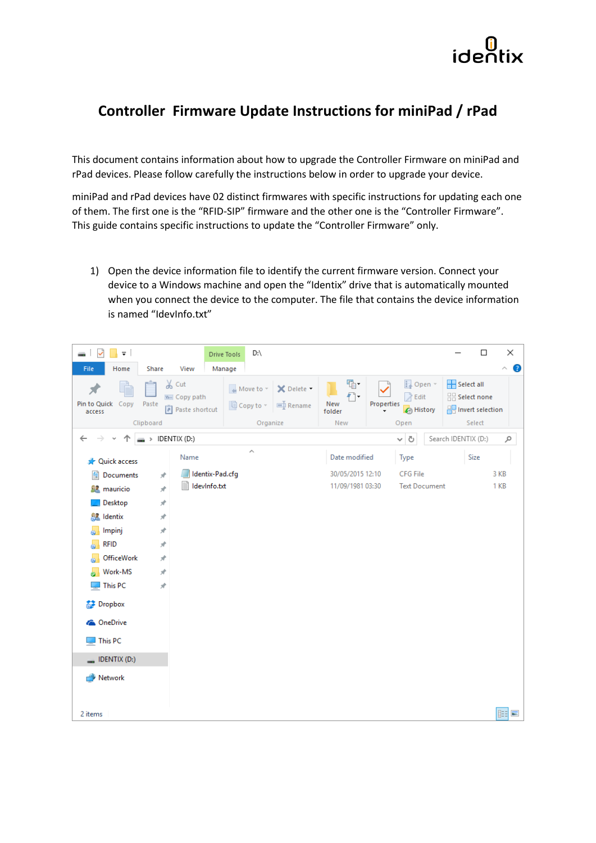

## **Controller Firmware Update Instructions for miniPad / rPad**

This document contains information about how to upgrade the Controller Firmware on miniPad and rPad devices. Please follow carefully the instructions below in order to upgrade your device.

miniPad and rPad devices have 02 distinct firmwares with specific instructions for updating each one of them. The first one is the "RFID-SIP" firmware and the other one is the "Controller Firmware". This guide contains specific instructions to update the "Controller Firmware" only.

1) Open the device information file to identify the current firmware version. Connect your device to a Windows machine and open the "Identix" drive that is automatically mounted when you connect the device to the computer. The file that contains the device information is named "IdevInfo.txt"

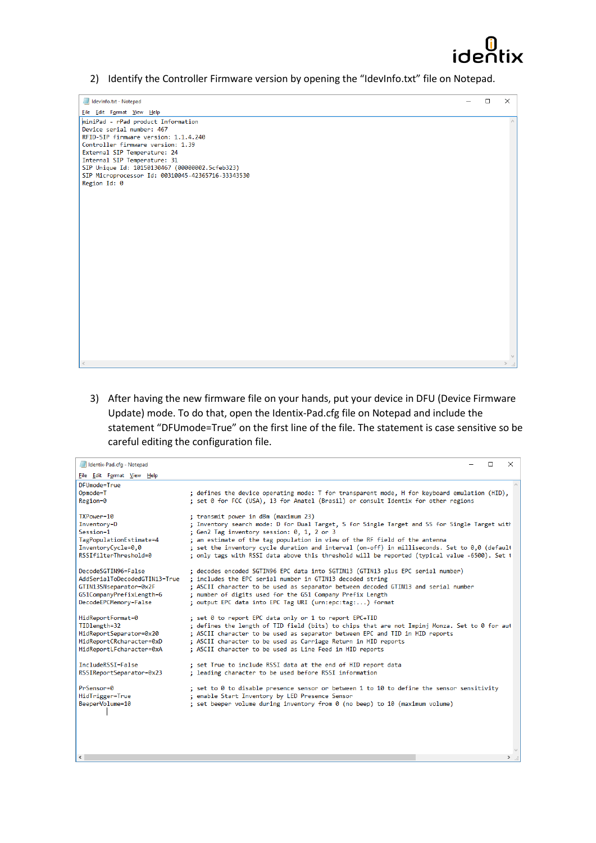

2) Identify the Controller Firmware version by opening the "IdevInfo.txt" file on Notepad.

| Idevinfo.txt - Notepad                                                                                                                                                                                                                                                                                                              | $\Box$ | $\times$ |
|-------------------------------------------------------------------------------------------------------------------------------------------------------------------------------------------------------------------------------------------------------------------------------------------------------------------------------------|--------|----------|
| File Edit Format View Help                                                                                                                                                                                                                                                                                                          |        |          |
| miniPad - rPad product Information<br>Device serial number: 467<br>RFID-SIP firmware version: 1.1.4.240<br>Controller firmware version: 1.39<br>External SIP Temperature: 24<br>Internal SIP Temperature: 31<br>SIP Unique Id: 10150130467 (00000002.5cfeb323)<br>SIP Microprocessor Id: 00310045-42365716-33343530<br>Region Id: 0 |        |          |
|                                                                                                                                                                                                                                                                                                                                     |        |          |

3) After having the new firmware file on your hands, put your device in DFU (Device Firmware Update) mode. To do that, open the Identix-Pad.cfg file on Notepad and include the statement "DFUmode=True" on the first line of the file. The statement is case sensitive so be careful editing the configuration file.

| Identix-Pad.cfg - Notepad                                                                                                           | $\Box$                                                                                                                                                                                                                                                                                                                                                                                                                                                              | $\times$ |
|-------------------------------------------------------------------------------------------------------------------------------------|---------------------------------------------------------------------------------------------------------------------------------------------------------------------------------------------------------------------------------------------------------------------------------------------------------------------------------------------------------------------------------------------------------------------------------------------------------------------|----------|
| File Edit Format View Help                                                                                                          |                                                                                                                                                                                                                                                                                                                                                                                                                                                                     |          |
| DFUmode=True<br>Opmode=T<br>Region=0                                                                                                | ; defines the device operating mode: T for transparent mode, H for keyboard emulation (HID),<br>; set 0 for FCC (USA), 13 for Anatel (Brasil) or consult Identix for other regions                                                                                                                                                                                                                                                                                  |          |
| TXPower=10<br>Inventory=D<br>Session=1<br>TagPopulationEstimate=4<br>InventoryCycle=0,0<br>RSSIfilterThreshold=0                    | ; transmit power in dBm (maximum 23)<br>; Inventory search mode: D for Dual Target, S for Single Target and SS for Single Target with<br>; Gen2 Tag inventory session: 0, 1, 2 or 3<br>; an estimate of the tag population in view of the RF field of the antenna<br>; set the inventory cycle duration and interval (on-off) in milliseconds. Set to 0,0 (default<br>; only tags with RSSI data above this threshold will be reported (typical value -6500). Set t |          |
| DecodeSGTIN96=False<br>AddSerialToDecodedGTIN13=True<br>GTIN13SNseparator=0x2F<br>GS1CompanyPrefixLength=6<br>DecodeEPCMemory=False | ; decodes encoded SGTIN96 EPC data into SGTIN13 (GTIN13 plus EPC serial number)<br>; includes the EPC serial number in GTIN13 decoded string<br>; ASCII character to be used as separator between decoded GTIN13 and serial number<br>; number of digits used for the GS1 Company Prefix Length<br>; output EPC data into EPC Tag URI (urn:epc:tag:) format                                                                                                         |          |
| HidReportFormat=0<br>TIDlength=32<br>HidReportSeparator=0x20<br>HidReportCRcharacter=0xD<br>HidReportLFcharacter=0xA                | ; set 0 to report EPC data only or 1 to report EPC+TID<br>; defines the length of TID field (bits) to chips that are not Impinj Monza. Set to 0 for aut<br>; ASCII character to be used as separator between EPC and TID in HID reports<br>; ASCII character to be used as Carriage Return in HID reports<br>; ASCII character to be used as Line Feed in HID reports                                                                                               |          |
| IncludeRSSI=False<br>RSSIReportSeparator=0x23                                                                                       | ; set True to include RSSI data at the end of HID report data<br>; leading character to be used before RSSI information                                                                                                                                                                                                                                                                                                                                             |          |
| PrSensor=0<br>HidTrigger=True<br>BeeperVolume=10                                                                                    | ; set to 0 to disable presence sensor or between 1 to 10 to define the sensor sensitivity<br>; enable Start Inventory by LED Presence Sensor<br>; set beeper volume during inventory from 0 (no beep) to 10 (maximum volume)                                                                                                                                                                                                                                        |          |
| $\hat{}$                                                                                                                            |                                                                                                                                                                                                                                                                                                                                                                                                                                                                     | > ∶      |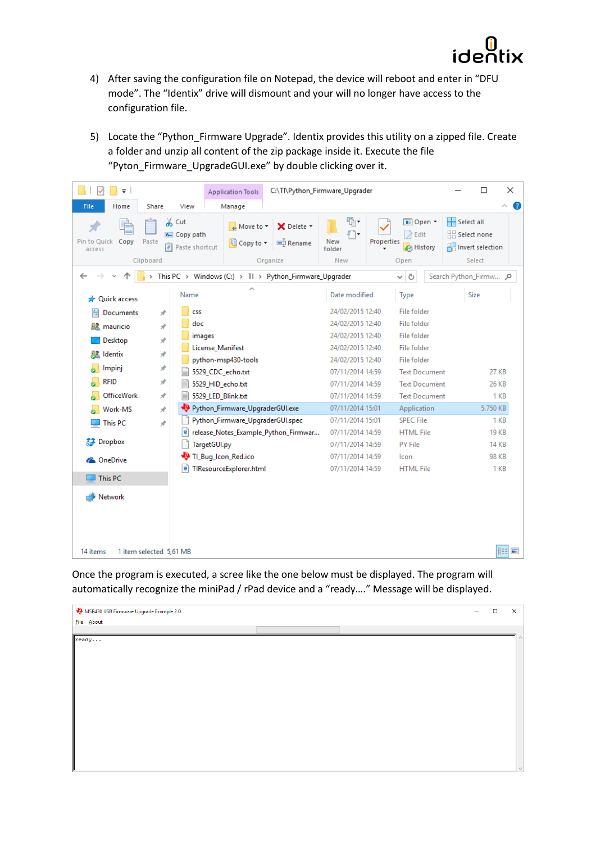

- 4) After saving the configuration file on Notepad, the device will reboot and enter in "DFU mode". The "Identix" drive will dismount and your will no longer have access to the configuration file.
- 5) Locate the "Python\_Firmware Upgrade". Identix provides this utility on a zipped file. Create a folder and unzip all content of the zip package inside it. Execute the file "Pyton\_Firmware\_UpgradeGUI.exe" by double clicking over it.

| $\overline{\mathbf{v}}$              | <b>Application Tools</b>                                                                                       | C:\Tl\Python_Firmware_Upgrader |                                      |                                                              | $\Box$<br>×                                                          |
|--------------------------------------|----------------------------------------------------------------------------------------------------------------|--------------------------------|--------------------------------------|--------------------------------------------------------------|----------------------------------------------------------------------|
| File<br>Home<br><b>Share</b>         | View<br>Manage                                                                                                 |                                |                                      |                                                              | B<br>۸                                                               |
| Pin to Quick Copy<br>Paste<br>access | $\&$ Cut<br>$\overline{u}$ Move to $\overline{v}$<br>W. Copy path<br><b>E</b> Copy to ▼<br>同<br>Paste shortcut | X Delete -<br><b>■ Rename</b>  | 喢.<br>New<br>folder                  | <b>IE</b> Open ▼<br><b>A</b> Edit<br>Properties<br>A History | Select all<br>$\frac{1}{2}$ Select none<br><b>R</b> Invert selection |
| Clipboard                            |                                                                                                                | Organize                       | New                                  | Open                                                         | Select                                                               |
|                                      | This PC > Windows (C:) > Tl > Python_Firmware_Upgrader                                                         |                                |                                      | Ō<br>v                                                       | Search Python_Firmw Q                                                |
| Quick access                         | Name                                                                                                           |                                | Date modified                        | Type                                                         | Size                                                                 |
| 兽<br>Documents<br>À                  | <b>CSS</b>                                                                                                     |                                | 24/02/2015 12:40                     | <b>File folder</b>                                           |                                                                      |
| À<br>mauricio<br>512                 | doc                                                                                                            |                                | 24/02/2015 12:40                     | File folder                                                  |                                                                      |
| Desktop<br>À                         | images                                                                                                         |                                | 24/02/2015 12:40                     | File folder                                                  |                                                                      |
| Identix<br>À                         | License_Manifest                                                                                               |                                | 24/02/2015 12:40                     | <b>File folder</b>                                           |                                                                      |
| Impinj<br>À                          | python-msp430-tools                                                                                            |                                | 24/02/2015 12:40                     | File folder<br><b>Text Document</b>                          | 27 KB                                                                |
| <b>RFID</b><br>À                     | 5529_CDC_echo.txt<br>E<br>5529_HID_echo.txt                                                                    |                                | 07/11/2014 14:59<br>07/11/2014 14:59 | <b>Text Document</b>                                         | 26 KB                                                                |
| <b>OfficeWork</b><br>À.              | 5529_LED_Blink.txt                                                                                             |                                | 07/11/2014 14:59                     | <b>Text Document</b>                                         | 1 KB                                                                 |
| Work-MS<br>À                         | Python_Firmware_UpgraderGUI.exe                                                                                |                                | 07/11/2014 15:01                     | Application                                                  | 5.750 KB                                                             |
| À<br><b>This PC</b>                  | Python_Firmware_UpgraderGUI.spec                                                                               |                                | 07/11/2014 15:01                     | <b>SPEC File</b>                                             | 1 <sub>KB</sub>                                                      |
|                                      | e<br>release_Notes_Example_Python_Firmwar                                                                      |                                | 07/11/2014 14:59                     | <b>HTML</b> File                                             | <b>19 KB</b>                                                         |
| <b>Dropbox</b>                       | TargetGUI.py                                                                                                   |                                | 07/11/2014 14:59                     | <b>PY File</b>                                               | <b>14 KB</b>                                                         |
| <b>C</b> OneDrive                    | TI_Bug_Icon_Red.ico                                                                                            |                                | 07/11/2014 14:59                     | Icon                                                         | <b>98 KB</b>                                                         |
| This PC                              | e<br>TIResourceExplorer.html                                                                                   |                                | 07/11/2014 14:59                     | <b>HTML</b> File                                             | 1 <sub>KB</sub>                                                      |
|                                      |                                                                                                                |                                |                                      |                                                              |                                                                      |
| Network                              |                                                                                                                |                                |                                      |                                                              |                                                                      |
|                                      |                                                                                                                |                                |                                      |                                                              |                                                                      |
|                                      |                                                                                                                |                                |                                      |                                                              |                                                                      |
| 14 items<br>1 item selected 5,61 MB  |                                                                                                                |                                |                                      |                                                              | 胆<br>$\equiv$                                                        |

Once the program is executed, a scree like the one below must be displayed. The program will automatically recognize the miniPad / rPad device and a "ready…." Message will be displayed.

| MSP430 USB Firmware Upgrade Example 2.0 |  | $\overline{\phantom{0}}$ | $\Box$ | $\times$ |
|-----------------------------------------|--|--------------------------|--------|----------|
| Eile About                              |  |                          |        |          |
|                                         |  |                          |        |          |
| ready                                   |  |                          |        |          |
|                                         |  |                          |        |          |
|                                         |  |                          |        |          |
|                                         |  |                          |        |          |
|                                         |  |                          |        |          |
|                                         |  |                          |        |          |
|                                         |  |                          |        |          |
|                                         |  |                          |        |          |
|                                         |  |                          |        |          |
|                                         |  |                          |        |          |
|                                         |  |                          |        |          |
|                                         |  |                          |        |          |
|                                         |  |                          |        |          |
|                                         |  |                          |        |          |
|                                         |  |                          |        | $\vee$   |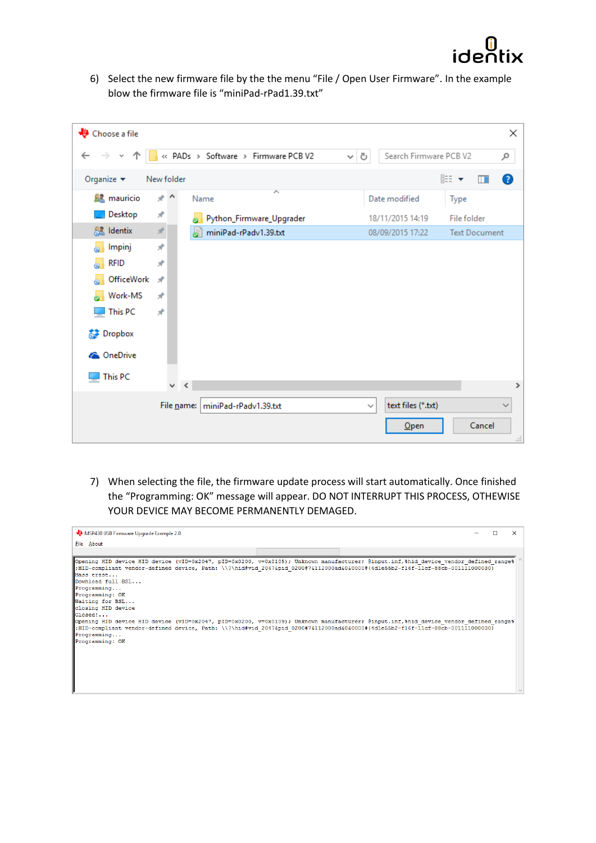

6) Select the new firmware file by the the menu "File / Open User Firmware". In the example blow the firmware file is "miniPad-rPad1.39.txt"

| Choose a file                     |               |                                     |                   |                        |                      | ×              |
|-----------------------------------|---------------|-------------------------------------|-------------------|------------------------|----------------------|----------------|
| 个<br>$\leftarrow$<br>$\checkmark$ |               | « PADs > Software > Firmware PCB V2 | Ō<br>$\checkmark$ | Search Firmware PCB V2 |                      | مر             |
| Organize $\blacktriangledown$     | New folder    |                                     |                   |                        | 距 ▼<br>m             | ❸              |
| <b>SZ</b> mauricio                | ォハ            | ∧<br>Name                           |                   | Date modified          | Type                 |                |
| Desktop                           | À             | Python_Firmware_Upgrader<br>6       |                   | 18/11/2015 14:19       | File folder          |                |
| <b>R</b> Identix                  | $\mathcal{R}$ | miniPad-rPadv1.39.txt               |                   | 08/09/2015 17:22       | <b>Text Document</b> |                |
| Impinj                            | À             |                                     |                   |                        |                      |                |
| <b>RFID</b>                       | À             |                                     |                   |                        |                      |                |
| OfficeWork                        | $\mathcal{R}$ |                                     |                   |                        |                      |                |
| Work-MS                           | À             |                                     |                   |                        |                      |                |
| This PC                           | À             |                                     |                   |                        |                      |                |
| <b>参</b> Dropbox                  |               |                                     |                   |                        |                      |                |
| <b>ConeDrive</b>                  |               |                                     |                   |                        |                      |                |
| This PC                           |               |                                     |                   |                        |                      |                |
|                                   | v             | $\prec$                             |                   |                        |                      | $\rightarrow$  |
|                                   |               | File name: miniPad-rPady1.39.txt    | $\checkmark$      | text files (*.txt)     |                      | $\checkmark$   |
|                                   |               |                                     |                   | Open                   | Cancel               | $\mathbb{R}^2$ |

7) When selecting the file, the firmware update process will start automatically. Once finished the "Programming: OK" message will appear. DO NOT INTERRUPT THIS PROCESS, OTHEWISE YOUR DEVICE MAY BECOME PERMANENTLY DEMAGED.

| MSP430 USB Firmware Upgrade Example 2.0                                                                                                                                                                                                                                                                                                                                                                                                                                                                                                                                                                                                                                                                                               | n. | $\times$ |
|---------------------------------------------------------------------------------------------------------------------------------------------------------------------------------------------------------------------------------------------------------------------------------------------------------------------------------------------------------------------------------------------------------------------------------------------------------------------------------------------------------------------------------------------------------------------------------------------------------------------------------------------------------------------------------------------------------------------------------------|----|----------|
| File About                                                                                                                                                                                                                                                                                                                                                                                                                                                                                                                                                                                                                                                                                                                            |    |          |
|                                                                                                                                                                                                                                                                                                                                                                                                                                                                                                                                                                                                                                                                                                                                       |    |          |
| Opening HID device HID device (vID=0x2047, pID=0x0200, v=0x0105); Unknown manufacturer; @input.inf,%hid device vendor defined range%<br>$\texttt{HID-compliant vendor-defined device, Path: \\\}\hat{\texttt{2047split 0200774112000ad6060000#{4d1e55b2-f16f-11cf-88cb-001111000030}}$<br>Mass erase<br>Download full BSL<br>Programming<br>Programming: OK<br>Waiting for BSL<br>closing HID device<br>$\mathsf{Closed}$<br>Opening HID device HID device (vID=0x2047, pID=0x0200, v=0x0109); Unknown manufacturer; @input.inf,%hid device vendor defined range%<br>:HID-compliant vendor-defined device, Path: \\?\hid#vid 2047&pid 0200#7&112000ad&0&0000#{4dle55b2-f16f-11cf-88cb-001111000030}<br>Programming<br>Programming: OK |    |          |
|                                                                                                                                                                                                                                                                                                                                                                                                                                                                                                                                                                                                                                                                                                                                       |    |          |
|                                                                                                                                                                                                                                                                                                                                                                                                                                                                                                                                                                                                                                                                                                                                       |    |          |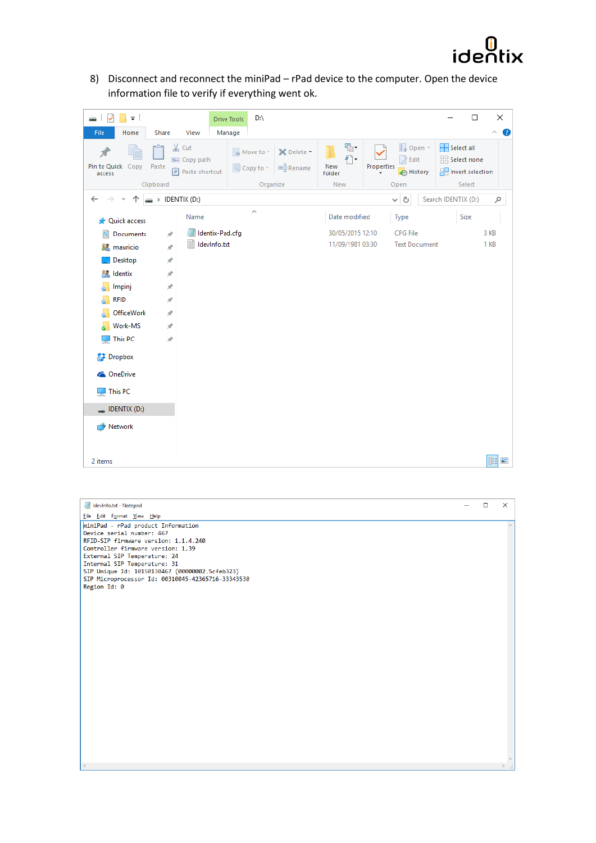

8) Disconnect and reconnect the miniPad – rPad device to the computer. Open the device information file to verify if everything went ok.

| V<br>$\overline{\mathbf{v}}$<br>mar. |                 |                                                          | D:\<br><b>Drive Tools</b>                                                |                               |                              |                                            |                      |                                                                        | ×<br>$\Box$   |
|--------------------------------------|-----------------|----------------------------------------------------------|--------------------------------------------------------------------------|-------------------------------|------------------------------|--------------------------------------------|----------------------|------------------------------------------------------------------------|---------------|
| File<br>Home                         | Share           | View                                                     | Manage                                                                   |                               |                              |                                            |                      |                                                                        | Ø<br>$\wedge$ |
| Pin to Quick Copy<br>access          | Paste           | $\chi$ Cut<br>W <sub>"</sub> Copy path<br>Paste shortcut | $\overline{\mathcal{M}}$ Move to $\overline{\mathcal{M}}$<br>国 Copy to - | X Delete +<br><b>可</b> Rename | 喢-<br>$f +$<br>New<br>folder | $\sqrt{ }$ Edit<br>Properties<br>A History | Dopen *              | Select all<br>$\frac{m}{n+1}$ Select none<br><b>R</b> Invert selection |               |
|                                      | Clipboard       |                                                          |                                                                          | Organize                      | New                          | Open                                       |                      | Select                                                                 |               |
| $\leftarrow$                         |                 | > IDENTIX (D:)                                           |                                                                          |                               |                              | ৺ এ                                        |                      | Search IDENTIX (D:)                                                    | مر            |
| <b>A</b> Quick access                |                 | Name                                                     | ́                                                                        |                               | Date modified                | Type                                       |                      | Size                                                                   |               |
| Documents<br>葟                       | $\pi$           | Identix-Pad.cfg                                          |                                                                          |                               | 30/05/2015 12:10             | <b>CFG File</b>                            |                      |                                                                        | 3 KB          |
| <b>R</b> mauricio                    | $\pi^{\!\star}$ | Ħ<br>IdevInfo.txt                                        |                                                                          |                               | 11/09/1981 03:30             |                                            | <b>Text Document</b> |                                                                        | 1 KB          |
| Desktop                              | $\pi$           |                                                          |                                                                          |                               |                              |                                            |                      |                                                                        |               |
| Identix                              | À               |                                                          |                                                                          |                               |                              |                                            |                      |                                                                        |               |
| Impinj                               | À               |                                                          |                                                                          |                               |                              |                                            |                      |                                                                        |               |
| <b>RFID</b>                          | À.              |                                                          |                                                                          |                               |                              |                                            |                      |                                                                        |               |
| OfficeWork                           | À.              |                                                          |                                                                          |                               |                              |                                            |                      |                                                                        |               |
| Work-MS                              | À.              |                                                          |                                                                          |                               |                              |                                            |                      |                                                                        |               |
| This PC                              | $\pi^{\!\star}$ |                                                          |                                                                          |                               |                              |                                            |                      |                                                                        |               |
| Dropbox                              |                 |                                                          |                                                                          |                               |                              |                                            |                      |                                                                        |               |
| <b>ConeDrive</b>                     |                 |                                                          |                                                                          |                               |                              |                                            |                      |                                                                        |               |
| This PC                              |                 |                                                          |                                                                          |                               |                              |                                            |                      |                                                                        |               |
| $\Box$ IDENTIX (D:)                  |                 |                                                          |                                                                          |                               |                              |                                            |                      |                                                                        |               |
| Network                              |                 |                                                          |                                                                          |                               |                              |                                            |                      |                                                                        |               |
| 2 items                              |                 |                                                          |                                                                          |                               |                              |                                            |                      |                                                                        | 胆固            |

| Idevinfo.txt - Notepad                                                         | $\Box$ | $\times$ |
|--------------------------------------------------------------------------------|--------|----------|
| File Edit Format View Help                                                     |        |          |
| miniPad - rPad product Information                                             |        |          |
| Device serial number: 467                                                      |        |          |
| RFID-SIP firmware version: 1.1.4.240                                           |        |          |
| Controller firmware version: 1.39                                              |        |          |
| External SIP Temperature: 24                                                   |        |          |
| Internal SIP Temperature: 31<br>SIP Unique Id: 10150130467 (00000002.5cfeb323) |        |          |
| SIP Microprocessor Id: 00310045-42365716-33343530                              |        |          |
| Region Id: 0                                                                   |        |          |
|                                                                                |        |          |
|                                                                                |        |          |
|                                                                                |        |          |
|                                                                                |        |          |
|                                                                                |        |          |
|                                                                                |        |          |
|                                                                                |        |          |
|                                                                                |        |          |
|                                                                                |        |          |
|                                                                                |        |          |
|                                                                                |        |          |
|                                                                                |        |          |
|                                                                                |        |          |
|                                                                                |        |          |
|                                                                                |        |          |
|                                                                                |        |          |
|                                                                                |        |          |
|                                                                                |        |          |
|                                                                                |        |          |
|                                                                                |        |          |
|                                                                                |        |          |